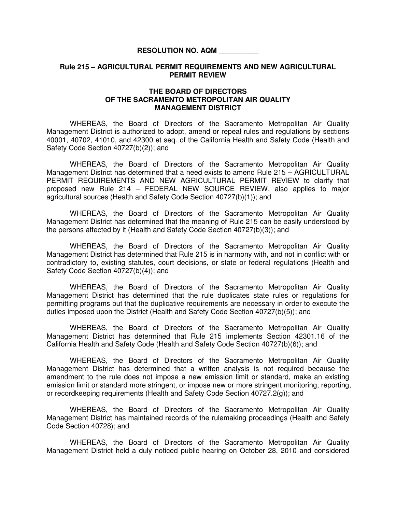## **RESOLUTION NO. AQM \_\_\_\_\_\_\_\_\_\_**

## **Rule 215 – AGRICULTURAL PERMIT REQUIREMENTS AND NEW AGRICULTURAL PERMIT REVIEW**

## **THE BOARD OF DIRECTORS OF THE SACRAMENTO METROPOLITAN AIR QUALITY MANAGEMENT DISTRICT**

 WHEREAS, the Board of Directors of the Sacramento Metropolitan Air Quality Management District is authorized to adopt, amend or repeal rules and regulations by sections 40001, 40702, 41010, and 42300 et seq. of the California Health and Safety Code (Health and Safety Code Section 40727(b)(2)); and

WHEREAS, the Board of Directors of the Sacramento Metropolitan Air Quality Management District has determined that a need exists to amend Rule 215 – AGRICULTURAL PERMIT REQUIREMENTS AND NEW AGRICULTURAL PERMIT REVIEW to clarify that proposed new Rule 214 – FEDERAL NEW SOURCE REVIEW, also applies to major agricultural sources (Health and Safety Code Section 40727(b)(1)); and

 WHEREAS, the Board of Directors of the Sacramento Metropolitan Air Quality Management District has determined that the meaning of Rule 215 can be easily understood by the persons affected by it (Health and Safety Code Section 40727(b)(3)); and

 WHEREAS, the Board of Directors of the Sacramento Metropolitan Air Quality Management District has determined that Rule 215 is in harmony with, and not in conflict with or contradictory to, existing statutes, court decisions, or state or federal regulations (Health and Safety Code Section 40727(b)(4)); and

 WHEREAS, the Board of Directors of the Sacramento Metropolitan Air Quality Management District has determined that the rule duplicates state rules or regulations for permitting programs but that the duplicative requirements are necessary in order to execute the duties imposed upon the District (Health and Safety Code Section 40727(b)(5)); and

 WHEREAS, the Board of Directors of the Sacramento Metropolitan Air Quality Management District has determined that Rule 215 implements Section 42301.16 of the California Health and Safety Code (Health and Safety Code Section 40727(b)(6)); and

WHEREAS, the Board of Directors of the Sacramento Metropolitan Air Quality Management District has determined that a written analysis is not required because the amendment to the rule does not impose a new emission limit or standard, make an existing emission limit or standard more stringent, or impose new or more stringent monitoring, reporting, or recordkeeping requirements (Health and Safety Code Section 40727.2(g)); and

WHEREAS, the Board of Directors of the Sacramento Metropolitan Air Quality Management District has maintained records of the rulemaking proceedings (Health and Safety Code Section 40728); and

 WHEREAS, the Board of Directors of the Sacramento Metropolitan Air Quality Management District held a duly noticed public hearing on October 28, 2010 and considered